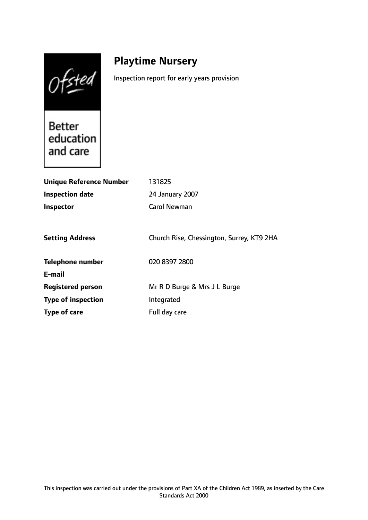Ofsted

# **Playtime Nursery**

Inspection report for early years provision

**Better** education and care

| <b>Unique Reference Number</b> | 131825                                    |
|--------------------------------|-------------------------------------------|
| <b>Inspection date</b>         | 24 January 2007                           |
| Inspector                      | <b>Carol Newman</b>                       |
|                                |                                           |
| <b>Setting Address</b>         | Church Rise, Chessington, Surrey, KT9 2HA |
| Telephone number               | 020 8397 2800                             |
| E-mail                         |                                           |
| <b>Registered person</b>       | Mr R D Burge & Mrs J L Burge              |
| <b>Type of inspection</b>      | Integrated                                |
| Type of care                   | Full day care                             |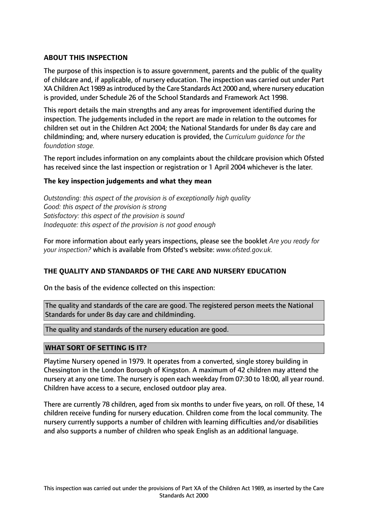## **ABOUT THIS INSPECTION**

The purpose of this inspection is to assure government, parents and the public of the quality of childcare and, if applicable, of nursery education. The inspection was carried out under Part XA Children Act 1989 asintroduced by the Care Standards Act 2000 and, where nursery education is provided, under Schedule 26 of the School Standards and Framework Act 1998.

This report details the main strengths and any areas for improvement identified during the inspection. The judgements included in the report are made in relation to the outcomes for children set out in the Children Act 2004; the National Standards for under 8s day care and childminding; and, where nursery education is provided, the *Curriculum guidance for the foundation stage.*

The report includes information on any complaints about the childcare provision which Ofsted has received since the last inspection or registration or 1 April 2004 whichever is the later.

#### **The key inspection judgements and what they mean**

*Outstanding: this aspect of the provision is of exceptionally high quality Good: this aspect of the provision is strong Satisfactory: this aspect of the provision is sound Inadequate: this aspect of the provision is not good enough*

For more information about early years inspections, please see the booklet *Are you ready for your inspection?* which is available from Ofsted's website: *www.ofsted.gov.uk.*

#### **THE QUALITY AND STANDARDS OF THE CARE AND NURSERY EDUCATION**

On the basis of the evidence collected on this inspection:

The quality and standards of the care are good. The registered person meets the National Standards for under 8s day care and childminding.

The quality and standards of the nursery education are good.

#### **WHAT SORT OF SETTING IS IT?**

Playtime Nursery opened in 1979. It operates from a converted, single storey building in Chessington in the London Borough of Kingston. A maximum of 42 children may attend the nursery at any one time. The nursery is open each weekday from 07:30 to 18:00, all year round. Children have access to a secure, enclosed outdoor play area.

There are currently 78 children, aged from six months to under five years, on roll. Of these, 14 children receive funding for nursery education. Children come from the local community. The nursery currently supports a number of children with learning difficulties and/or disabilities and also supports a number of children who speak English as an additional language.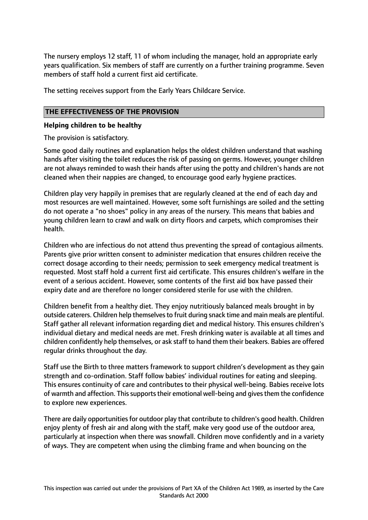The nursery employs 12 staff, 11 of whom including the manager, hold an appropriate early years qualification. Six members of staff are currently on a further training programme. Seven members of staff hold a current first aid certificate.

The setting receives support from the Early Years Childcare Service.

# **THE EFFECTIVENESS OF THE PROVISION**

#### **Helping children to be healthy**

The provision is satisfactory.

Some good daily routines and explanation helps the oldest children understand that washing hands after visiting the toilet reduces the risk of passing on germs. However, younger children are not always reminded to wash their hands after using the potty and children's hands are not cleaned when their nappies are changed, to encourage good early hygiene practices.

Children play very happily in premises that are regularly cleaned at the end of each day and most resources are well maintained. However, some soft furnishings are soiled and the setting do not operate a "no shoes" policy in any areas of the nursery. This means that babies and young children learn to crawl and walk on dirty floors and carpets, which compromises their health.

Children who are infectious do not attend thus preventing the spread of contagious ailments. Parents give prior written consent to administer medication that ensures children receive the correct dosage according to their needs; permission to seek emergency medical treatment is requested. Most staff hold a current first aid certificate. This ensures children's welfare in the event of a serious accident. However, some contents of the first aid box have passed their expiry date and are therefore no longer considered sterile for use with the children.

Children benefit from a healthy diet. They enjoy nutritiously balanced meals brought in by outside caterers. Children help themselvesto fruit during snack time and main meals are plentiful. Staff gather all relevant information regarding diet and medical history. This ensures children's individual dietary and medical needs are met. Fresh drinking water is available at all times and children confidently help themselves, or ask staff to hand them their beakers. Babies are offered regular drinks throughout the day.

Staff use the Birth to three matters framework to support children's development as they gain strength and co-ordination. Staff follow babies' individual routines for eating and sleeping. This ensures continuity of care and contributes to their physical well-being. Babies receive lots of warmth and affection. This supports their emotional well-being and gives them the confidence to explore new experiences.

There are daily opportunities for outdoor play that contribute to children's good health. Children enjoy plenty of fresh air and along with the staff, make very good use of the outdoor area, particularly at inspection when there was snowfall. Children move confidently and in a variety of ways. They are competent when using the climbing frame and when bouncing on the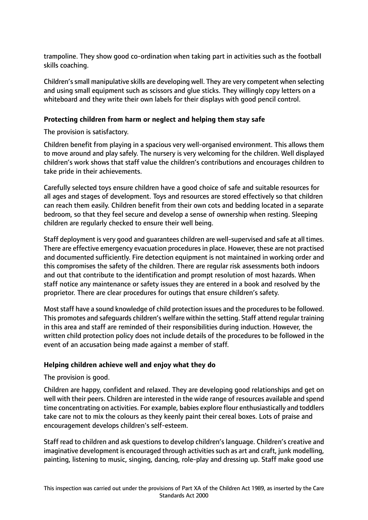trampoline. They show good co-ordination when taking part in activities such as the football skills coaching.

Children'ssmall manipulative skills are developing well. They are very competent when selecting and using small equipment such as scissors and glue sticks. They willingly copy letters on a whiteboard and they write their own labels for their displays with good pencil control.

# **Protecting children from harm or neglect and helping them stay safe**

The provision is satisfactory.

Children benefit from playing in a spacious very well-organised environment. This allows them to move around and play safely. The nursery is very welcoming for the children. Well displayed children's work shows that staff value the children's contributions and encourages children to take pride in their achievements.

Carefully selected toys ensure children have a good choice of safe and suitable resources for all ages and stages of development. Toys and resources are stored effectively so that children can reach them easily. Children benefit from their own cots and bedding located in a separate bedroom, so that they feel secure and develop a sense of ownership when resting. Sleeping children are regularly checked to ensure their well being.

Staff deployment is very good and guarantees children are well-supervised and safe at all times. There are effective emergency evacuation procedures in place. However, these are not practised and documented sufficiently. Fire detection equipment is not maintained in working order and this compromises the safety of the children. There are regular risk assessments both indoors and out that contribute to the identification and prompt resolution of most hazards. When staff notice any maintenance or safety issues they are entered in a book and resolved by the proprietor. There are clear procedures for outings that ensure children's safety.

Most staff have a sound knowledge of child protection issues and the procedures to be followed. This promotes and safeguards children's welfare within the setting. Staff attend regular training in this area and staff are reminded of their responsibilities during induction. However, the written child protection policy does not include details of the procedures to be followed in the event of an accusation being made against a member of staff.

#### **Helping children achieve well and enjoy what they do**

The provision is good.

Children are happy, confident and relaxed. They are developing good relationships and get on well with their peers. Children are interested in the wide range of resources available and spend time concentrating on activities. For example, babies explore flour enthusiastically and toddlers take care not to mix the colours as they keenly paint their cereal boxes. Lots of praise and encouragement develops children's self-esteem.

Staff read to children and ask questions to develop children's language. Children's creative and imaginative development is encouraged through activities such as art and craft, junk modelling, painting, listening to music, singing, dancing, role-play and dressing up. Staff make good use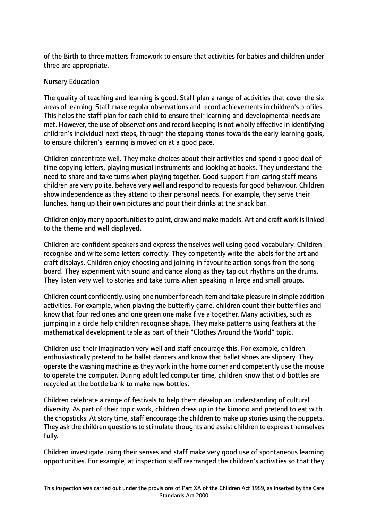of the Birth to three matters framework to ensure that activities for babies and children under three are appropriate.

#### Nursery Education

The quality of teaching and learning is good. Staff plan a range of activities that cover the six areas of learning. Staff make regular observations and record achievements in children's profiles. This helps the staff plan for each child to ensure their learning and developmental needs are met. However, the use of observations and record keeping is not wholly effective in identifying children's individual next steps, through the stepping stones towards the early learning goals, to ensure children's learning is moved on at a good pace.

Children concentrate well. They make choices about their activities and spend a good deal of time copying letters, playing musical instruments and looking at books. They understand the need to share and take turns when playing together. Good support from caring staff means children are very polite, behave very well and respond to requests for good behaviour. Children show independence as they attend to their personal needs. For example, they serve their lunches, hang up their own pictures and pour their drinks at the snack bar.

Children enjoy many opportunities to paint, draw and make models. Art and craft work is linked to the theme and well displayed.

Children are confident speakers and express themselves well using good vocabulary. Children recognise and write some letters correctly. They competently write the labels for the art and craft displays. Children enjoy choosing and joining in favourite action songs from the song board. They experiment with sound and dance along as they tap out rhythms on the drums. They listen very well to stories and take turns when speaking in large and small groups.

Children count confidently, using one number for each item and take pleasure in simple addition activities. For example, when playing the butterfly game, children count their butterflies and know that four red ones and one green one make five altogether. Many activities, such as jumping in a circle help children recognise shape. They make patterns using feathers at the mathematical development table as part of their "Clothes Around the World" topic.

Children use their imagination very well and staff encourage this. For example, children enthusiastically pretend to be ballet dancers and know that ballet shoes are slippery. They operate the washing machine as they work in the home corner and competently use the mouse to operate the computer. During adult led computer time, children know that old bottles are recycled at the bottle bank to make new bottles.

Children celebrate a range of festivals to help them develop an understanding of cultural diversity. As part of their topic work, children dress up in the kimono and pretend to eat with the chopsticks. At story time, staff encourage the children to make up stories using the puppets. They ask the children questions to stimulate thoughts and assist children to express themselves fully.

Children investigate using their senses and staff make very good use of spontaneous learning opportunities. For example, at inspection staff rearranged the children's activities so that they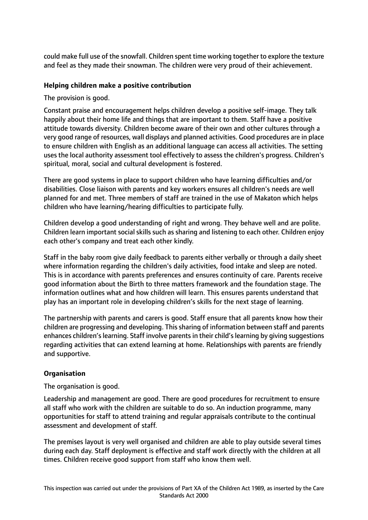could make full use of the snowfall. Children spent time working together to explore the texture and feel as they made their snowman. The children were very proud of their achievement.

## **Helping children make a positive contribution**

The provision is good.

Constant praise and encouragement helps children develop a positive self-image. They talk happily about their home life and things that are important to them. Staff have a positive attitude towards diversity. Children become aware of their own and other cultures through a very good range of resources, wall displays and planned activities. Good procedures are in place to ensure children with English as an additional language can access all activities. The setting uses the local authority assessment tool effectively to assess the children's progress. Children's spiritual, moral, social and cultural development is fostered.

There are good systems in place to support children who have learning difficulties and/or disabilities. Close liaison with parents and key workers ensures all children's needs are well planned for and met. Three members of staff are trained in the use of Makaton which helps children who have learning/hearing difficulties to participate fully.

Children develop a good understanding of right and wrong. They behave well and are polite. Children learn important social skills such as sharing and listening to each other. Children enjoy each other's company and treat each other kindly.

Staff in the baby room give daily feedback to parents either verbally or through a daily sheet where information regarding the children's daily activities, food intake and sleep are noted. This is in accordance with parents preferences and ensures continuity of care. Parents receive good information about the Birth to three matters framework and the foundation stage. The information outlines what and how children will learn. This ensures parents understand that play has an important role in developing children's skills for the next stage of learning.

The partnership with parents and carers is good. Staff ensure that all parents know how their children are progressing and developing. This sharing of information between staff and parents enhances children's learning. Staff involve parents in their child's learning by giving suggestions regarding activities that can extend learning at home. Relationships with parents are friendly and supportive.

#### **Organisation**

The organisation is good.

Leadership and management are good. There are good procedures for recruitment to ensure all staff who work with the children are suitable to do so. An induction programme, many opportunities for staff to attend training and regular appraisals contribute to the continual assessment and development of staff.

The premises layout is very well organised and children are able to play outside several times during each day. Staff deployment is effective and staff work directly with the children at all times. Children receive good support from staff who know them well.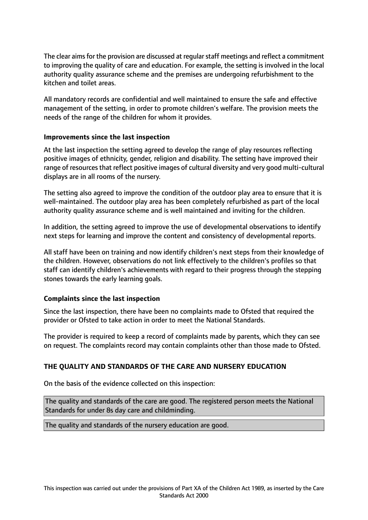The clear aims for the provision are discussed at regular staff meetings and reflect a commitment to improving the quality of care and education. For example, the setting is involved in the local authority quality assurance scheme and the premises are undergoing refurbishment to the kitchen and toilet areas.

All mandatory records are confidential and well maintained to ensure the safe and effective management of the setting, in order to promote children's welfare. The provision meets the needs of the range of the children for whom it provides.

#### **Improvements since the last inspection**

At the last inspection the setting agreed to develop the range of play resources reflecting positive images of ethnicity, gender, religion and disability. The setting have improved their range of resources that reflect positive images of cultural diversity and very good multi-cultural displays are in all rooms of the nursery.

The setting also agreed to improve the condition of the outdoor play area to ensure that it is well-maintained. The outdoor play area has been completely refurbished as part of the local authority quality assurance scheme and is well maintained and inviting for the children.

In addition, the setting agreed to improve the use of developmental observations to identify next steps for learning and improve the content and consistency of developmental reports.

All staff have been on training and now identify children's next steps from their knowledge of the children. However, observations do not link effectively to the children's profiles so that staff can identify children's achievements with regard to their progress through the stepping stones towards the early learning goals.

#### **Complaints since the last inspection**

Since the last inspection, there have been no complaints made to Ofsted that required the provider or Ofsted to take action in order to meet the National Standards.

The provider is required to keep a record of complaints made by parents, which they can see on request. The complaints record may contain complaints other than those made to Ofsted.

#### **THE QUALITY AND STANDARDS OF THE CARE AND NURSERY EDUCATION**

On the basis of the evidence collected on this inspection:

The quality and standards of the care are good. The registered person meets the National Standards for under 8s day care and childminding.

The quality and standards of the nursery education are good.